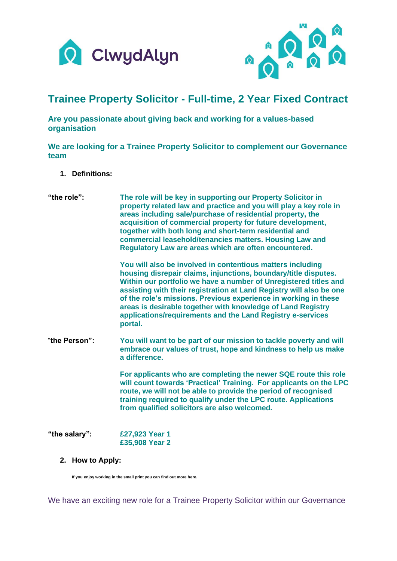



## **Trainee Property Solicitor - Full-time, 2 Year Fixed Contract**

**Are you passionate about giving back and working for a values-based organisation**

## **We are looking for a Trainee Property Solicitor to complement our Governance team**

**1. Definitions:**

| "the role":      | The role will be key in supporting our Property Solicitor in<br>property related law and practice and you will play a key role in<br>areas including sale/purchase of residential property, the<br>acquisition of commercial property for future development,<br>together with both long and short-term residential and<br>commercial leasehold/tenancies matters. Housing Law and<br>Regulatory Law are areas which are often encountered.                                         |
|------------------|-------------------------------------------------------------------------------------------------------------------------------------------------------------------------------------------------------------------------------------------------------------------------------------------------------------------------------------------------------------------------------------------------------------------------------------------------------------------------------------|
|                  | You will also be involved in contentious matters including<br>housing disrepair claims, injunctions, boundary/title disputes.<br>Within our portfolio we have a number of Unregistered titles and<br>assisting with their registration at Land Registry will also be one<br>of the role's missions. Previous experience in working in these<br>areas is desirable together with knowledge of Land Registry<br>applications/requirements and the Land Registry e-services<br>portal. |
| "the Person":    | You will want to be part of our mission to tackle poverty and will<br>embrace our values of trust, hope and kindness to help us make<br>a difference.                                                                                                                                                                                                                                                                                                                               |
|                  | For applicants who are completing the newer SQE route this role<br>will count towards 'Practical' Training. For applicants on the LPC<br>route, we will not be able to provide the period of recognised<br>training required to qualify under the LPC route. Applications<br>from qualified solicitors are also welcomed.                                                                                                                                                           |
| "the salary":    | £27,923 Year 1<br>£35,908 Year 2                                                                                                                                                                                                                                                                                                                                                                                                                                                    |
| 2. How to Apply: |                                                                                                                                                                                                                                                                                                                                                                                                                                                                                     |

**If you enjoy working in the small print you can find out more here.**

We have an exciting new role for a Trainee Property Solicitor within our Governance